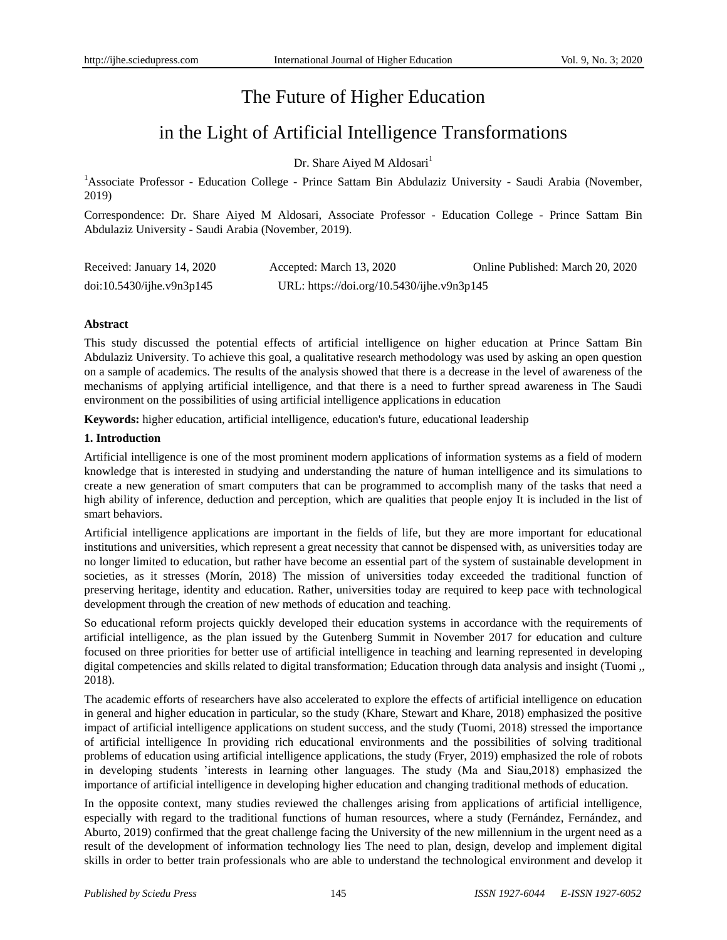# The Future of Higher Education

## in the Light of Artificial Intelligence Transformations

Dr. Share Aived M Aldosari<sup>1</sup>

<sup>1</sup>Associate Professor - Education College - Prince Sattam Bin Abdulaziz University - Saudi Arabia (November, 2019)

Correspondence: Dr. Share Aiyed M Aldosari, Associate Professor - Education College - Prince Sattam Bin Abdulaziz University - Saudi Arabia (November, 2019).

| Received: January 14, 2020 | Accepted: March 13, 2020                   | Online Published: March 20, 2020 |
|----------------------------|--------------------------------------------|----------------------------------|
| doi:10.5430/ijhe.v9n3p145  | URL: https://doi.org/10.5430/ijhe.v9n3p145 |                                  |

## **Abstract**

This study discussed the potential effects of artificial intelligence on higher education at Prince Sattam Bin Abdulaziz University. To achieve this goal, a qualitative research methodology was used by asking an open question on a sample of academics. The results of the analysis showed that there is a decrease in the level of awareness of the mechanisms of applying artificial intelligence, and that there is a need to further spread awareness in The Saudi environment on the possibilities of using artificial intelligence applications in education

**Keywords:** higher education, artificial intelligence, education's future, educational leadership

## **1. Introduction**

Artificial intelligence is one of the most prominent modern applications of information systems as a field of modern knowledge that is interested in studying and understanding the nature of human intelligence and its simulations to create a new generation of smart computers that can be programmed to accomplish many of the tasks that need a high ability of inference, deduction and perception, which are qualities that people enjoy It is included in the list of smart behaviors.

Artificial intelligence applications are important in the fields of life, but they are more important for educational institutions and universities, which represent a great necessity that cannot be dispensed with, as universities today are no longer limited to education, but rather have become an essential part of the system of sustainable development in societies, as it stresses (Mor n 2018) The mission of universities today exceeded the traditional function of preserving heritage, identity and education. Rather, universities today are required to keep pace with technological development through the creation of new methods of education and teaching.

So educational reform projects quickly developed their education systems in accordance with the requirements of artificial intelligence, as the plan issued by the Gutenberg Summit in November 2017 for education and culture focused on three priorities for better use of artificial intelligence in teaching and learning represented in developing digital competencies and skills related to digital transformation; Education through data analysis and insight (Tuomi ,, 2018).

The academic efforts of researchers have also accelerated to explore the effects of artificial intelligence on education in general and higher education in particular, so the study (Khare, Stewart and Khare, 2018) emphasized the positive impact of artificial intelligence applications on student success, and the study (Tuomi, 2018) stressed the importance of artificial intelligence In providing rich educational environments and the possibilities of solving traditional problems of education using artificial intelligence applications, the study (Fryer, 2019) emphasized the role of robots in developing students 'interests in learning other languages. The study (Ma and Siau,2018) emphasized the importance of artificial intelligence in developing higher education and changing traditional methods of education.

In the opposite context, many studies reviewed the challenges arising from applications of artificial intelligence, especially with regard to the traditional functions of human resources, where a study (Fernández, Fernández, and Aburto, 2019) confirmed that the great challenge facing the University of the new millennium in the urgent need as a result of the development of information technology lies The need to plan, design, develop and implement digital skills in order to better train professionals who are able to understand the technological environment and develop it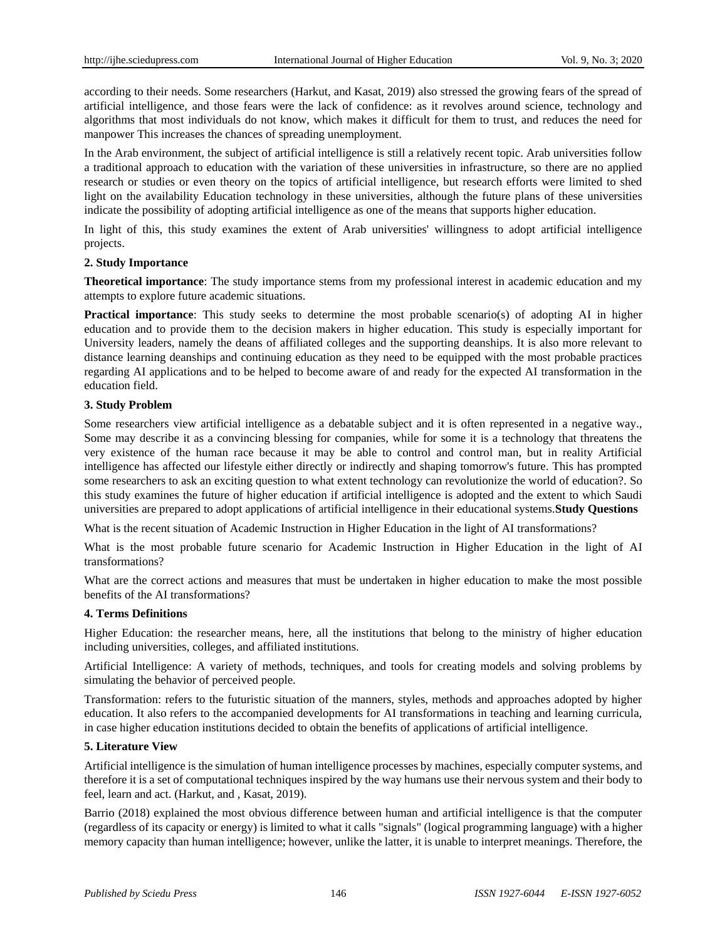according to their needs. Some researchers (Harkut, and Kasat, 2019) also stressed the growing fears of the spread of artificial intelligence, and those fears were the lack of confidence: as it revolves around science, technology and algorithms that most individuals do not know, which makes it difficult for them to trust, and reduces the need for manpower This increases the chances of spreading unemployment.

In the Arab environment, the subject of artificial intelligence is still a relatively recent topic. Arab universities follow a traditional approach to education with the variation of these universities in infrastructure, so there are no applied research or studies or even theory on the topics of artificial intelligence, but research efforts were limited to shed light on the availability Education technology in these universities, although the future plans of these universities indicate the possibility of adopting artificial intelligence as one of the means that supports higher education.

In light of this, this study examines the extent of Arab universities' willingness to adopt artificial intelligence projects.

#### **2. Study Importance**

**Theoretical importance**: The study importance stems from my professional interest in academic education and my attempts to explore future academic situations.

**Practical importance**: This study seeks to determine the most probable scenario(s) of adopting AI in higher education and to provide them to the decision makers in higher education. This study is especially important for University leaders, namely the deans of affiliated colleges and the supporting deanships. It is also more relevant to distance learning deanships and continuing education as they need to be equipped with the most probable practices regarding AI applications and to be helped to become aware of and ready for the expected AI transformation in the education field.

#### **3. Study Problem**

Some researchers view artificial intelligence as a debatable subject and it is often represented in a negative way., Some may describe it as a convincing blessing for companies, while for some it is a technology that threatens the very existence of the human race because it may be able to control and control man, but in reality Artificial intelligence has affected our lifestyle either directly or indirectly and shaping tomorrow's future. This has prompted some researchers to ask an exciting question to what extent technology can revolutionize the world of education?. So this study examines the future of higher education if artificial intelligence is adopted and the extent to which Saudi universities are prepared to adopt applications of artificial intelligence in their educational systems.**Study Questions**

What is the recent situation of Academic Instruction in Higher Education in the light of AI transformations?

What is the most probable future scenario for Academic Instruction in Higher Education in the light of AI transformations?

What are the correct actions and measures that must be undertaken in higher education to make the most possible benefits of the AI transformations?

#### **4. Terms Definitions**

Higher Education: the researcher means, here, all the institutions that belong to the ministry of higher education including universities, colleges, and affiliated institutions.

Artificial Intelligence: A variety of methods, techniques, and tools for creating models and solving problems by simulating the behavior of perceived people.

Transformation: refers to the futuristic situation of the manners, styles, methods and approaches adopted by higher education. It also refers to the accompanied developments for AI transformations in teaching and learning curricula, in case higher education institutions decided to obtain the benefits of applications of artificial intelligence.

## **5. Literature View**

Artificial intelligence is the simulation of human intelligence processes by machines, especially computer systems, and therefore it is a set of computational techniques inspired by the way humans use their nervous system and their body to feel, learn and act. (Harkut, and , Kasat, 2019).

Barrio (2018) explained the most obvious difference between human and artificial intelligence is that the computer (regardless of its capacity or energy) is limited to what it calls "signals" (logical programming language) with a higher memory capacity than human intelligence; however, unlike the latter, it is unable to interpret meanings. Therefore, the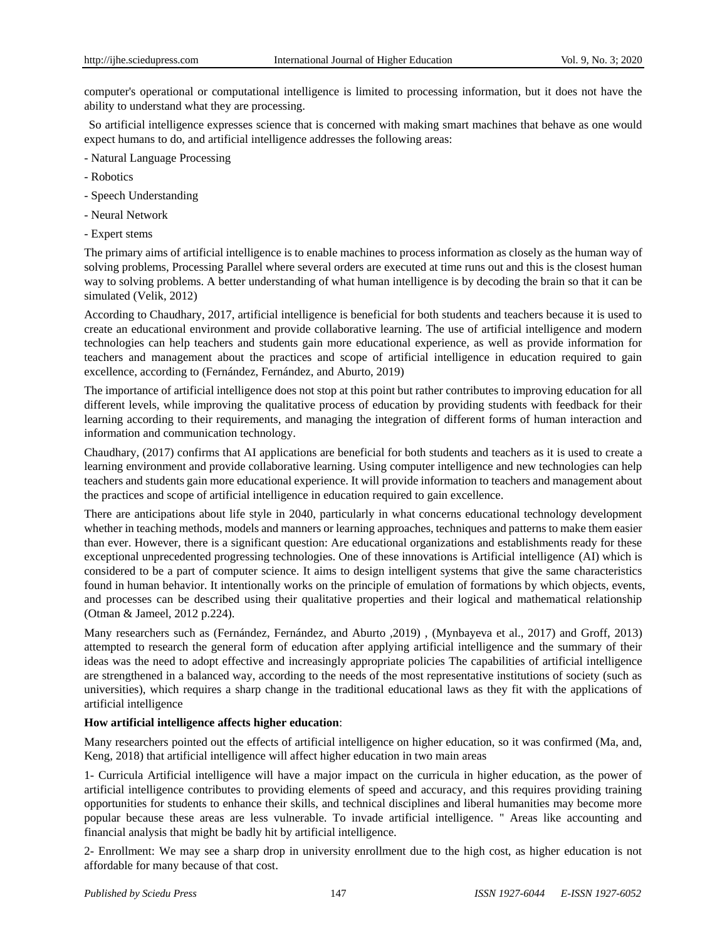computer's operational or computational intelligence is limited to processing information, but it does not have the ability to understand what they are processing.

So artificial intelligence expresses science that is concerned with making smart machines that behave as one would expect humans to do, and artificial intelligence addresses the following areas:

- Natural Language Processing
- Robotics
- Speech Understanding
- Neural Network
- Expert stems

The primary aims of artificial intelligence is to enable machines to process information as closely as the human way of solving problems, Processing Parallel where several orders are executed at time runs out and this is the closest human way to solving problems. A better understanding of what human intelligence is by decoding the brain so that it can be simulated (Velik, 2012)

According to Chaudhary, 2017, artificial intelligence is beneficial for both students and teachers because it is used to create an educational environment and provide collaborative learning. The use of artificial intelligence and modern technologies can help teachers and students gain more educational experience, as well as provide information for teachers and management about the practices and scope of artificial intelligence in education required to gain excellence, according to (Fernández, Fernández, and Aburto, 2019)

The importance of artificial intelligence does not stop at this point but rather contributes to improving education for all different levels, while improving the qualitative process of education by providing students with feedback for their learning according to their requirements, and managing the integration of different forms of human interaction and information and communication technology.

Chaudhary, (2017) confirms that AI applications are beneficial for both students and teachers as it is used to create a learning environment and provide collaborative learning. Using computer intelligence and new technologies can help teachers and students gain more educational experience. It will provide information to teachers and management about the practices and scope of artificial intelligence in education required to gain excellence.

There are anticipations about life style in 2040, particularly in what concerns educational technology development whether in teaching methods, models and manners or learning approaches, techniques and patterns to make them easier than ever. However, there is a significant question: Are educational organizations and establishments ready for these exceptional unprecedented progressing technologies. One of these innovations is Artificial intelligence (AI) which is considered to be a part of computer science. It aims to design intelligent systems that give the same characteristics found in human behavior. It intentionally works on the principle of emulation of formations by which objects, events, and processes can be described using their qualitative properties and their logical and mathematical relationship (Otman & Jameel, 2012 p.224).

Many researchers such as (Fernández, Fernández, and Aburto ,2019) , (Mynbayeva et al., 2017) and Groff, 2013) attempted to research the general form of education after applying artificial intelligence and the summary of their ideas was the need to adopt effective and increasingly appropriate policies The capabilities of artificial intelligence are strengthened in a balanced way, according to the needs of the most representative institutions of society (such as universities), which requires a sharp change in the traditional educational laws as they fit with the applications of artificial intelligence

## **How artificial intelligence affects higher education**:

Many researchers pointed out the effects of artificial intelligence on higher education, so it was confirmed (Ma, and, Keng, 2018) that artificial intelligence will affect higher education in two main areas

1- Curricula Artificial intelligence will have a major impact on the curricula in higher education, as the power of artificial intelligence contributes to providing elements of speed and accuracy, and this requires providing training opportunities for students to enhance their skills, and technical disciplines and liberal humanities may become more popular because these areas are less vulnerable. To invade artificial intelligence. " Areas like accounting and financial analysis that might be badly hit by artificial intelligence.

2- Enrollment: We may see a sharp drop in university enrollment due to the high cost, as higher education is not affordable for many because of that cost.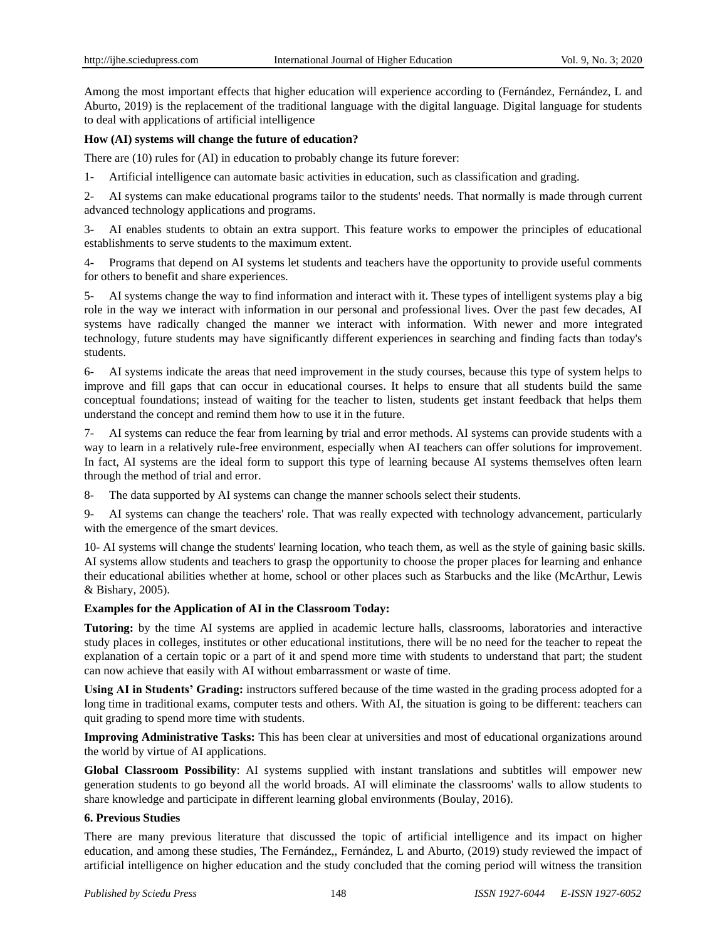Among the most important effects that higher education will experience according to (Fernández, Fernández, L and Aburto, 2019) is the replacement of the traditional language with the digital language. Digital language for students to deal with applications of artificial intelligence

## **How (AI) systems will change the future of education?**

There are (10) rules for (AI) in education to probably change its future forever:

1- Artificial intelligence can automate basic activities in education, such as classification and grading.

2- AI systems can make educational programs tailor to the students' needs. That normally is made through current advanced technology applications and programs.

3- AI enables students to obtain an extra support. This feature works to empower the principles of educational establishments to serve students to the maximum extent.

4- Programs that depend on AI systems let students and teachers have the opportunity to provide useful comments for others to benefit and share experiences.

5- AI systems change the way to find information and interact with it. These types of intelligent systems play a big role in the way we interact with information in our personal and professional lives. Over the past few decades, AI systems have radically changed the manner we interact with information. With newer and more integrated technology, future students may have significantly different experiences in searching and finding facts than today's students.

6- AI systems indicate the areas that need improvement in the study courses, because this type of system helps to improve and fill gaps that can occur in educational courses. It helps to ensure that all students build the same conceptual foundations; instead of waiting for the teacher to listen, students get instant feedback that helps them understand the concept and remind them how to use it in the future.

7- AI systems can reduce the fear from learning by trial and error methods. AI systems can provide students with a way to learn in a relatively rule-free environment, especially when AI teachers can offer solutions for improvement. In fact, AI systems are the ideal form to support this type of learning because AI systems themselves often learn through the method of trial and error.

8- The data supported by AI systems can change the manner schools select their students.

9- AI systems can change the teachers' role. That was really expected with technology advancement, particularly with the emergence of the smart devices.

10- AI systems will change the students' learning location, who teach them, as well as the style of gaining basic skills. AI systems allow students and teachers to grasp the opportunity to choose the proper places for learning and enhance their educational abilities whether at home, school or other places such as Starbucks and the like (McArthur, Lewis & Bishary, 2005).

#### **Examples for the Application of AI in the Classroom Today:**

**Tutoring:** by the time AI systems are applied in academic lecture halls, classrooms, laboratories and interactive study places in colleges, institutes or other educational institutions, there will be no need for the teacher to repeat the explanation of a certain topic or a part of it and spend more time with students to understand that part; the student can now achieve that easily with AI without embarrassment or waste of time.

**Using AI in Students' Grading:** instructors suffered because of the time wasted in the grading process adopted for a long time in traditional exams, computer tests and others. With AI, the situation is going to be different: teachers can quit grading to spend more time with students.

**Improving Administrative Tasks:** This has been clear at universities and most of educational organizations around the world by virtue of AI applications.

**Global Classroom Possibility**: AI systems supplied with instant translations and subtitles will empower new generation students to go beyond all the world broads. AI will eliminate the classrooms' walls to allow students to share knowledge and participate in different learning global environments (Boulay, 2016).

#### **6. Previous Studies**

There are many previous literature that discussed the topic of artificial intelligence and its impact on higher education, and among these studies, The Fernández,, Fernández, L and Aburto, (2019) study reviewed the impact of artificial intelligence on higher education and the study concluded that the coming period will witness the transition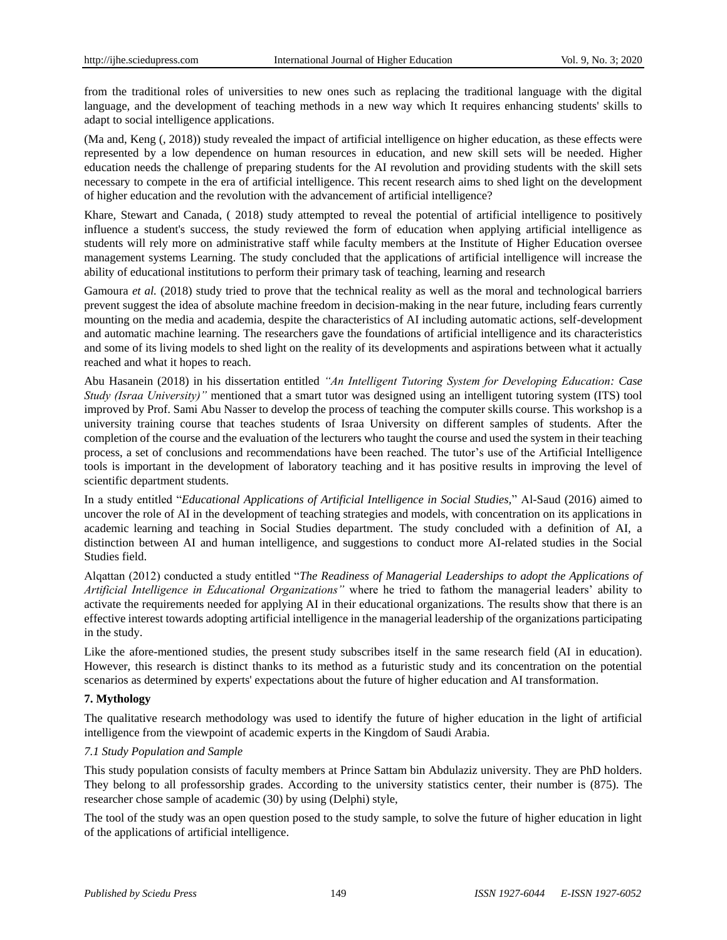from the traditional roles of universities to new ones such as replacing the traditional language with the digital language, and the development of teaching methods in a new way which It requires enhancing students' skills to adapt to social intelligence applications.

(Ma and, Keng (, 2018)) study revealed the impact of artificial intelligence on higher education, as these effects were represented by a low dependence on human resources in education, and new skill sets will be needed. Higher education needs the challenge of preparing students for the AI revolution and providing students with the skill sets necessary to compete in the era of artificial intelligence. This recent research aims to shed light on the development of higher education and the revolution with the advancement of artificial intelligence?

Khare, Stewart and Canada, ( 2018) study attempted to reveal the potential of artificial intelligence to positively influence a student's success, the study reviewed the form of education when applying artificial intelligence as students will rely more on administrative staff while faculty members at the Institute of Higher Education oversee management systems Learning. The study concluded that the applications of artificial intelligence will increase the ability of educational institutions to perform their primary task of teaching, learning and research

Gamoura *et al.* (2018) study tried to prove that the technical reality as well as the moral and technological barriers prevent suggest the idea of absolute machine freedom in decision-making in the near future, including fears currently mounting on the media and academia, despite the characteristics of AI including automatic actions, self-development and automatic machine learning. The researchers gave the foundations of artificial intelligence and its characteristics and some of its living models to shed light on the reality of its developments and aspirations between what it actually reached and what it hopes to reach.

Abu Hasanein (2018) in his dissertation entitled *"An Intelligent Tutoring System for Developing Education: Case Study (Israa University)"* mentioned that a smart tutor was designed using an intelligent tutoring system (ITS) tool improved by Prof. Sami Abu Nasser to develop the process of teaching the computer skills course. This workshop is a university training course that teaches students of Israa University on different samples of students. After the completion of the course and the evaluation of the lecturers who taught the course and used the system in their teaching process, a set of conclusions and recommendations have been reached. The tutor's use of the Artificial Intelligence tools is important in the development of laboratory teaching and it has positive results in improving the level of scientific department students.

In a study entitled "*Educational Applications of Artificial Intelligence in Social Studies,*" Al-Saud (2016) aimed to uncover the role of AI in the development of teaching strategies and models, with concentration on its applications in academic learning and teaching in Social Studies department. The study concluded with a definition of AI, a distinction between AI and human intelligence, and suggestions to conduct more AI-related studies in the Social Studies field.

Alqattan (2012) conducted a study entitled "*The Readiness of Managerial Leaderships to adopt the Applications of Artificial Intelligence in Educational Organizations"* where he tried to fathom the managerial leaders' ability to activate the requirements needed for applying AI in their educational organizations. The results show that there is an effective interest towards adopting artificial intelligence in the managerial leadership of the organizations participating in the study.

Like the afore-mentioned studies, the present study subscribes itself in the same research field (AI in education). However, this research is distinct thanks to its method as a futuristic study and its concentration on the potential scenarios as determined by experts' expectations about the future of higher education and AI transformation.

## **7. Mythology**

The qualitative research methodology was used to identify the future of higher education in the light of artificial intelligence from the viewpoint of academic experts in the Kingdom of Saudi Arabia.

#### *7.1 Study Population and Sample*

This study population consists of faculty members at Prince Sattam bin Abdulaziz university. They are PhD holders. They belong to all professorship grades. According to the university statistics center, their number is (875). The researcher chose sample of academic (30) by using (Delphi) style,

The tool of the study was an open question posed to the study sample, to solve the future of higher education in light of the applications of artificial intelligence.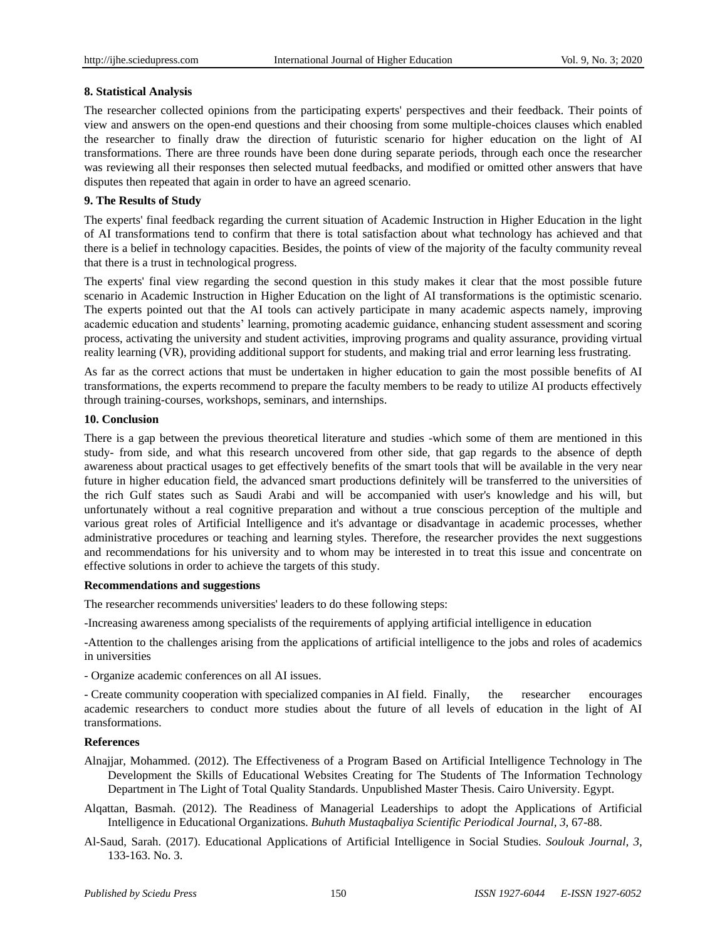#### **8. Statistical Analysis**

The researcher collected opinions from the participating experts' perspectives and their feedback. Their points of view and answers on the open-end questions and their choosing from some multiple-choices clauses which enabled the researcher to finally draw the direction of futuristic scenario for higher education on the light of AI transformations. There are three rounds have been done during separate periods, through each once the researcher was reviewing all their responses then selected mutual feedbacks, and modified or omitted other answers that have disputes then repeated that again in order to have an agreed scenario.

## **9. The Results of Study**

The experts' final feedback regarding the current situation of Academic Instruction in Higher Education in the light of AI transformations tend to confirm that there is total satisfaction about what technology has achieved and that there is a belief in technology capacities. Besides, the points of view of the majority of the faculty community reveal that there is a trust in technological progress.

The experts' final view regarding the second question in this study makes it clear that the most possible future scenario in Academic Instruction in Higher Education on the light of AI transformations is the optimistic scenario. The experts pointed out that the AI tools can actively participate in many academic aspects namely, improving academic education and students' learning, promoting academic guidance, enhancing student assessment and scoring process, activating the university and student activities, improving programs and quality assurance, providing virtual reality learning (VR), providing additional support for students, and making trial and error learning less frustrating.

As far as the correct actions that must be undertaken in higher education to gain the most possible benefits of AI transformations, the experts recommend to prepare the faculty members to be ready to utilize AI products effectively through training-courses, workshops, seminars, and internships.

## **10. Conclusion**

There is a gap between the previous theoretical literature and studies -which some of them are mentioned in this study- from side, and what this research uncovered from other side, that gap regards to the absence of depth awareness about practical usages to get effectively benefits of the smart tools that will be available in the very near future in higher education field, the advanced smart productions definitely will be transferred to the universities of the rich Gulf states such as Saudi Arabi and will be accompanied with user's knowledge and his will, but unfortunately without a real cognitive preparation and without a true conscious perception of the multiple and various great roles of Artificial Intelligence and it's advantage or disadvantage in academic processes, whether administrative procedures or teaching and learning styles. Therefore, the researcher provides the next suggestions and recommendations for his university and to whom may be interested in to treat this issue and concentrate on effective solutions in order to achieve the targets of this study.

#### **Recommendations and suggestions**

The researcher recommends universities' leaders to do these following steps:

-Increasing awareness among specialists of the requirements of applying artificial intelligence in education

-Attention to the challenges arising from the applications of artificial intelligence to the jobs and roles of academics in universities

- Organize academic conferences on all AI issues.

- Create community cooperation with specialized companies in AI field. Finally, the researcher encourages academic researchers to conduct more studies about the future of all levels of education in the light of AI transformations.

## **References**

- Alnajjar, Mohammed. (2012). The Effectiveness of a Program Based on Artificial Intelligence Technology in The Development the Skills of Educational Websites Creating for The Students of The Information Technology Department in The Light of Total Quality Standards. Unpublished Master Thesis. Cairo University. Egypt.
- Alqattan, Basmah. (2012). The Readiness of Managerial Leaderships to adopt the Applications of Artificial Intelligence in Educational Organizations. *[Buhuth Mustaqbaliya Scientific Periodical Journal,](https://www.iasj.net/iasj?func=issues&jId=227&uiLanguage=en) 3*, 67-88.
- Al-Saud, Sarah. (2017). Educational Applications of Artificial Intelligence in Social Studies. *Soulouk Journal, 3*, 133-163. No. 3.